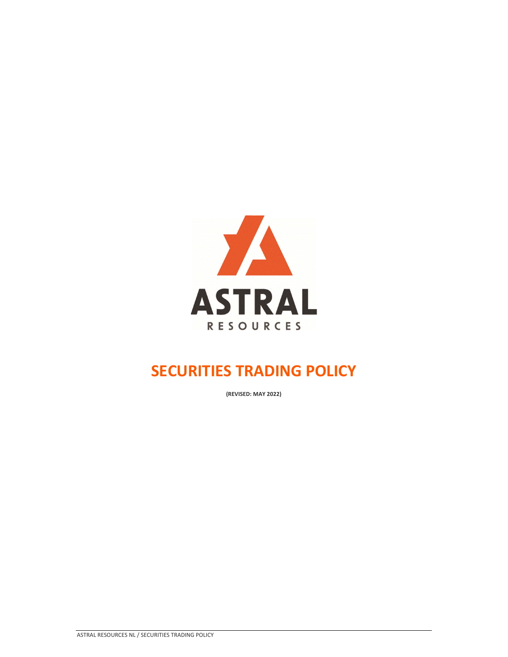

**(REVISED: MAY 2022)**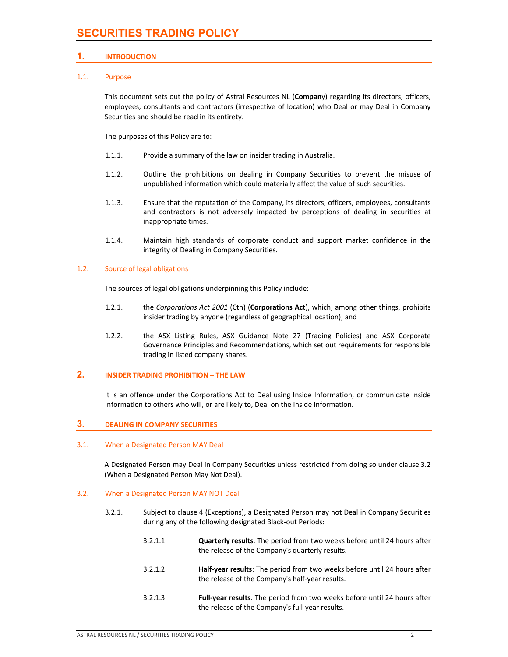# **1. INTRODUCTION**

### 1.1. Purpose

This document sets out the policy of Astral Resources NL (**Compan**y) regarding its directors, officers, employees, consultants and contractors (irrespective of location) who Deal or may Deal in Company Securities and should be read in its entirety.

The purposes of this Policy are to:

- 1.1.1. Provide a summary of the law on insider trading in Australia.
- 1.1.2. Outline the prohibitions on dealing in Company Securities to prevent the misuse of unpublished information which could materially affect the value of such securities.
- 1.1.3. Ensure that the reputation of the Company, its directors, officers, employees, consultants and contractors is not adversely impacted by perceptions of dealing in securities at inappropriate times.
- 1.1.4. Maintain high standards of corporate conduct and support market confidence in the integrity of Dealing in Company Securities.

#### 1.2. Source of legal obligations

The sources of legal obligations underpinning this Policy include:

- 1.2.1. the *Corporations Act 2001* (Cth) (**Corporations Act**), which, among other things, prohibits insider trading by anyone (regardless of geographical location); and
- 1.2.2. the ASX Listing Rules, ASX Guidance Note 27 (Trading Policies) and ASX Corporate Governance Principles and Recommendations, which set out requirements for responsible trading in listed company shares.

#### **2. INSIDER TRADING PROHIBITION – THE LAW**

It is an offence under the Corporations Act to Deal using Inside Information, or communicate Inside Information to others who will, or are likely to, Deal on the Inside Information.

#### **3. DEALING IN COMPANY SECURITIES**

#### 3.1. When a Designated Person MAY Deal

A Designated Person may Deal in Company Securities unless restricted from doing so under clause 3.2 (When a Designated Person May Not Deal).

#### 3.2. When a Designated Person MAY NOT Deal

- 3.2.1. Subject to clause 4 (Exceptions), a Designated Person may not Deal in Company Securities during any of the following designated Black‐out Periods:
	- 3.2.1.1 **Quarterly results**: The period from two weeks before until 24 hours after the release of the Company's quarterly results.
	- 3.2.1.2 **Half‐year results**: The period from two weeks before until 24 hours after the release of the Company's half‐year results.
	- 3.2.1.3 **Full‐year results**: The period from two weeks before until 24 hours after the release of the Company's full‐year results.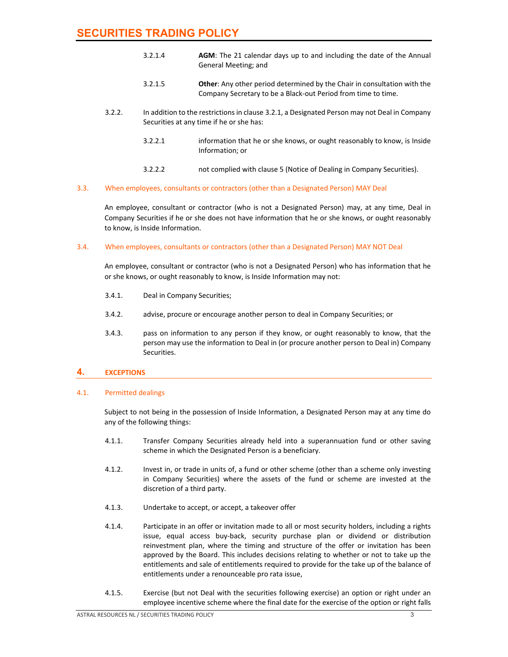- 3.2.1.4 **AGM**: The 21 calendar days up to and including the date of the Annual General Meeting; and
- 3.2.1.5 **Other**: Any other period determined by the Chair in consultation with the Company Secretary to be a Black‐out Period from time to time.
- 3.2.2. In addition to the restrictionsin clause 3.2.1, a Designated Person may not Deal in Company Securities at any time if he or she has:
	- 3.2.2.1 information that he or she knows, or ought reasonably to know, is Inside Information; or
	- 3.2.2.2 not complied with clause 5 (Notice of Dealing in Company Securities).

#### 3.3. When employees, consultants or contractors (other than a Designated Person) MAY Deal

An employee, consultant or contractor (who is not a Designated Person) may, at any time, Deal in Company Securities if he or she does not have information that he or she knows, or ought reasonably to know, is Inside Information.

#### 3.4. When employees, consultants or contractors (other than a Designated Person) MAY NOT Deal

An employee, consultant or contractor (who is not a Designated Person) who has information that he or she knows, or ought reasonably to know, is Inside Information may not:

- 3.4.1. Deal in Company Securities;
- 3.4.2. advise, procure or encourage another person to deal in Company Securities; or
- 3.4.3. pass on information to any person if they know, or ought reasonably to know, that the person may use the information to Deal in (or procure another person to Deal in) Company Securities.

# **4. EXCEPTIONS**

#### 4.1. Permitted dealings

Subject to not being in the possession of Inside Information, a Designated Person may at any time do any of the following things:

- 4.1.1. Transfer Company Securities already held into a superannuation fund or other saving scheme in which the Designated Person is a beneficiary.
- 4.1.2. Invest in, or trade in units of, a fund or other scheme (other than a scheme only investing in Company Securities) where the assets of the fund or scheme are invested at the discretion of a third party.
- 4.1.3. Undertake to accept, or accept, a takeover offer
- 4.1.4. Participate in an offer or invitation made to all or most security holders, including a rights issue, equal access buy‐back, security purchase plan or dividend or distribution reinvestment plan, where the timing and structure of the offer or invitation has been approved by the Board. This includes decisions relating to whether or not to take up the entitlements and sale of entitlements required to provide for the take up of the balance of entitlements under a renounceable pro rata issue,
- 4.1.5. Exercise (but not Deal with the securities following exercise) an option or right under an employee incentive scheme where the final date for the exercise of the option or right falls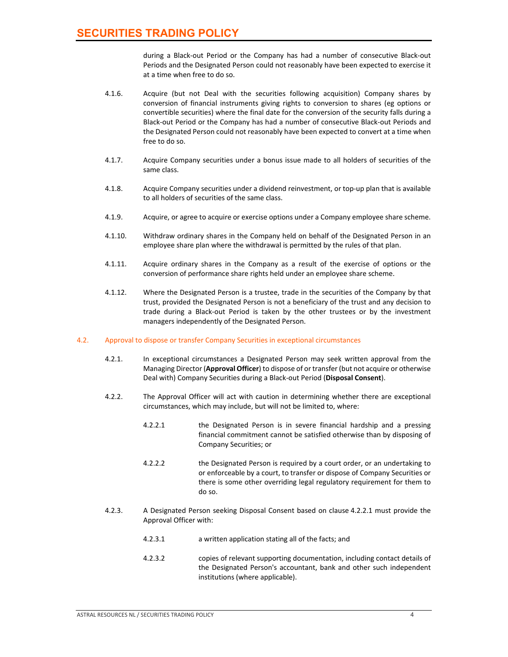during a Black‐out Period or the Company has had a number of consecutive Black‐out Periods and the Designated Person could not reasonably have been expected to exercise it at a time when free to do so.

- 4.1.6. Acquire (but not Deal with the securities following acquisition) Company shares by conversion of financial instruments giving rights to conversion to shares (eg options or convertible securities) where the final date for the conversion of the security falls during a Black‐out Period or the Company has had a number of consecutive Black‐out Periods and the Designated Person could not reasonably have been expected to convert at a time when free to do so.
- 4.1.7. Acquire Company securities under a bonus issue made to all holders of securities of the same class.
- 4.1.8. Acquire Company securities under a dividend reinvestment, or top‐up plan that is available to all holders of securities of the same class.
- 4.1.9. Acquire, or agree to acquire or exercise options under a Company employee share scheme.
- 4.1.10. Withdraw ordinary shares in the Company held on behalf of the Designated Person in an employee share plan where the withdrawal is permitted by the rules of that plan.
- 4.1.11. Acquire ordinary shares in the Company as a result of the exercise of options or the conversion of performance share rights held under an employee share scheme.
- 4.1.12. Where the Designated Person is a trustee, trade in the securities of the Company by that trust, provided the Designated Person is not a beneficiary of the trust and any decision to trade during a Black‐out Period is taken by the other trustees or by the investment managers independently of the Designated Person.
- 4.2. Approval to dispose or transfer Company Securities in exceptional circumstances
	- 4.2.1. In exceptional circumstances a Designated Person may seek written approval from the Managing Director (**Approval Officer**) to dispose of ortransfer (but not acquire or otherwise Deal with) Company Securities during a Black‐out Period (**Disposal Consent**).
	- 4.2.2. The Approval Officer will act with caution in determining whether there are exceptional circumstances, which may include, but will not be limited to, where:
		- 4.2.2.1 the Designated Person is in severe financial hardship and a pressing financial commitment cannot be satisfied otherwise than by disposing of Company Securities; or
		- 4.2.2.2 the Designated Person is required by a court order, or an undertaking to or enforceable by a court, to transfer or dispose of Company Securities or there is some other overriding legal regulatory requirement for them to do so.
	- 4.2.3. A Designated Person seeking Disposal Consent based on clause 4.2.2.1 must provide the Approval Officer with:
		- 4.2.3.1 a written application stating all of the facts; and
		- 4.2.3.2 copies of relevant supporting documentation, including contact details of the Designated Person's accountant, bank and other such independent institutions (where applicable).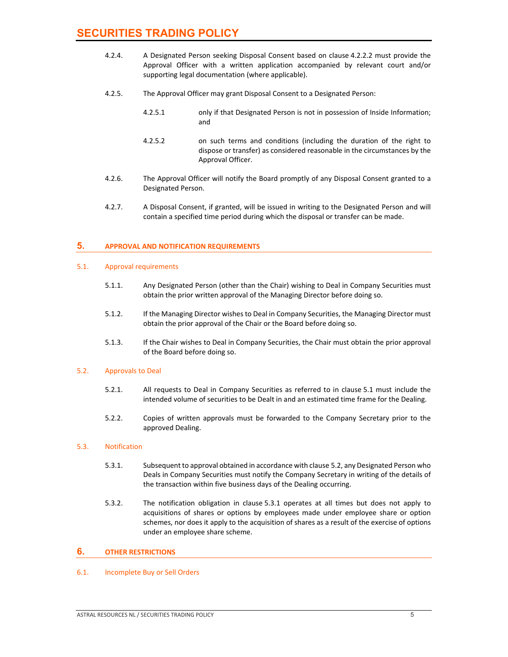- 4.2.4. A Designated Person seeking Disposal Consent based on clause 4.2.2.2 must provide the Approval Officer with a written application accompanied by relevant court and/or supporting legal documentation (where applicable).
- 4.2.5. The Approval Officer may grant Disposal Consent to a Designated Person:
	- 4.2.5.1 only if that Designated Person is not in possession of Inside Information; and
	- 4.2.5.2 on such terms and conditions (including the duration of the right to dispose or transfer) as considered reasonable in the circumstances by the Approval Officer.
- 4.2.6. The Approval Officer will notify the Board promptly of any Disposal Consent granted to a Designated Person.
- 4.2.7. A Disposal Consent, if granted, will be issued in writing to the Designated Person and will contain a specified time period during which the disposal or transfer can be made.

# **5. APPROVAL AND NOTIFICATION REQUIREMENTS**

#### 5.1. Approval requirements

- 5.1.1. Any Designated Person (other than the Chair) wishing to Deal in Company Securities must obtain the prior written approval of the Managing Director before doing so.
- 5.1.2. If the Managing Director wishes to Deal in Company Securities, the Managing Director must obtain the prior approval of the Chair or the Board before doing so.
- 5.1.3. If the Chair wishes to Deal in Company Securities, the Chair must obtain the prior approval of the Board before doing so.

#### 5.2. Approvals to Deal

- 5.2.1. All requests to Deal in Company Securities as referred to in clause 5.1 must include the intended volume of securities to be Dealt in and an estimated time frame for the Dealing.
- 5.2.2. Copies of written approvals must be forwarded to the Company Secretary prior to the approved Dealing.

#### 5.3. Notification

- 5.3.1. Subsequent to approval obtained in accordance with clause 5.2, any Designated Person who Deals in Company Securities must notify the Company Secretary in writing of the details of the transaction within five business days of the Dealing occurring.
- 5.3.2. The notification obligation in clause 5.3.1 operates at all times but does not apply to acquisitions of shares or options by employees made under employee share or option schemes, nor does it apply to the acquisition of shares as a result of the exercise of options under an employee share scheme.

#### **6. OTHER RESTRICTIONS**

#### 6.1. Incomplete Buy or Sell Orders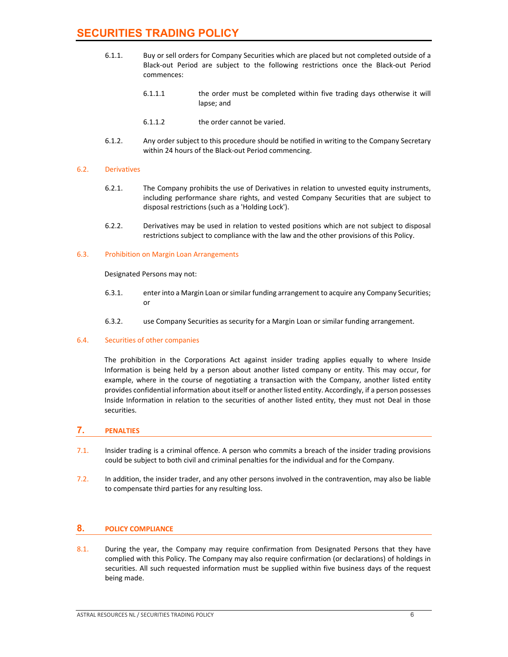- 6.1.1. Buy or sell orders for Company Securities which are placed but not completed outside of a Black‐out Period are subject to the following restrictions once the Black‐out Period commences:
	- 6.1.1.1 the order must be completed within five trading days otherwise it will lapse; and
	- 6.1.1.2 the order cannot be varied.
- 6.1.2. Any order subject to this procedure should be notified in writing to the Company Secretary within 24 hours of the Black‐out Period commencing.

### 6.2. Derivatives

- 6.2.1. The Company prohibits the use of Derivatives in relation to unvested equity instruments, including performance share rights, and vested Company Securities that are subject to disposal restrictions (such as a 'Holding Lock').
- 6.2.2. Derivatives may be used in relation to vested positions which are not subject to disposal restrictions subject to compliance with the law and the other provisions of this Policy.

#### 6.3. Prohibition on Margin Loan Arrangements

#### Designated Persons may not:

- 6.3.1. enter into a Margin Loan orsimilar funding arrangement to acquire any Company Securities; or
- 6.3.2. use Company Securities as security for a Margin Loan or similar funding arrangement.

# 6.4. Securities of other companies

The prohibition in the Corporations Act against insider trading applies equally to where Inside Information is being held by a person about another listed company or entity. This may occur, for example, where in the course of negotiating a transaction with the Company, another listed entity provides confidential information about itself or another listed entity. Accordingly, if a person possesses Inside Information in relation to the securities of another listed entity, they must not Deal in those securities.

# **7. PENALTIES**

- 7.1. Insider trading is a criminal offence. A person who commits a breach of the insider trading provisions could be subject to both civil and criminal penalties for the individual and for the Company.
- 7.2. In addition, the insider trader, and any other persons involved in the contravention, may also be liable to compensate third parties for any resulting loss.

# **8. POLICY COMPLIANCE**

8.1. During the year, the Company may require confirmation from Designated Persons that they have complied with this Policy. The Company may also require confirmation (or declarations) of holdings in securities. All such requested information must be supplied within five business days of the request being made.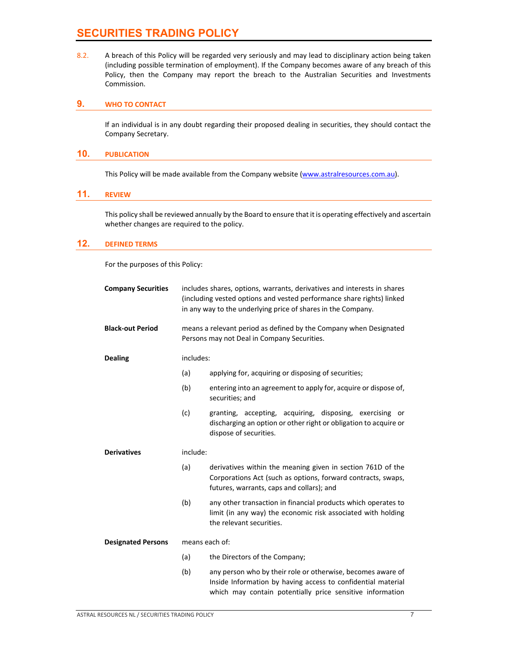8.2. A breach of this Policy will be regarded very seriously and may lead to disciplinary action being taken (including possible termination of employment). If the Company becomes aware of any breach of this Policy, then the Company may report the breach to the Australian Securities and Investments Commission.

### **9. WHO TO CONTACT**

If an individual is in any doubt regarding their proposed dealing in securities, they should contact the Company Secretary.

#### **10. PUBLICATION**

This Policy will be made available from the Company website (www.astralresources.com.au).

# **11. REVIEW**

This policy shall be reviewed annually by the Board to ensure that it is operating effectively and ascertain whether changes are required to the policy.

# **12. DEFINED TERMS**

For the purposes of this Policy:

| <b>Company Securities</b> | includes shares, options, warrants, derivatives and interests in shares<br>(including vested options and vested performance share rights) linked<br>in any way to the underlying price of shares in the Company. |                                                                                                                                                                                          |  |
|---------------------------|------------------------------------------------------------------------------------------------------------------------------------------------------------------------------------------------------------------|------------------------------------------------------------------------------------------------------------------------------------------------------------------------------------------|--|
| <b>Black-out Period</b>   | means a relevant period as defined by the Company when Designated<br>Persons may not Deal in Company Securities.                                                                                                 |                                                                                                                                                                                          |  |
| <b>Dealing</b>            | includes:                                                                                                                                                                                                        |                                                                                                                                                                                          |  |
|                           | (a)                                                                                                                                                                                                              | applying for, acquiring or disposing of securities;                                                                                                                                      |  |
|                           | (b)                                                                                                                                                                                                              | entering into an agreement to apply for, acquire or dispose of,<br>securities; and                                                                                                       |  |
|                           | (c)                                                                                                                                                                                                              | granting, accepting, acquiring, disposing, exercising or<br>discharging an option or other right or obligation to acquire or<br>dispose of securities.                                   |  |
| <b>Derivatives</b>        | include:                                                                                                                                                                                                         |                                                                                                                                                                                          |  |
|                           | (a)                                                                                                                                                                                                              | derivatives within the meaning given in section 761D of the<br>Corporations Act (such as options, forward contracts, swaps,<br>futures, warrants, caps and collars); and                 |  |
|                           | (b)                                                                                                                                                                                                              | any other transaction in financial products which operates to<br>limit (in any way) the economic risk associated with holding<br>the relevant securities.                                |  |
| <b>Designated Persons</b> | means each of:                                                                                                                                                                                                   |                                                                                                                                                                                          |  |
|                           | (a)                                                                                                                                                                                                              | the Directors of the Company;                                                                                                                                                            |  |
|                           | (b)                                                                                                                                                                                                              | any person who by their role or otherwise, becomes aware of<br>Inside Information by having access to confidential material<br>which may contain potentially price sensitive information |  |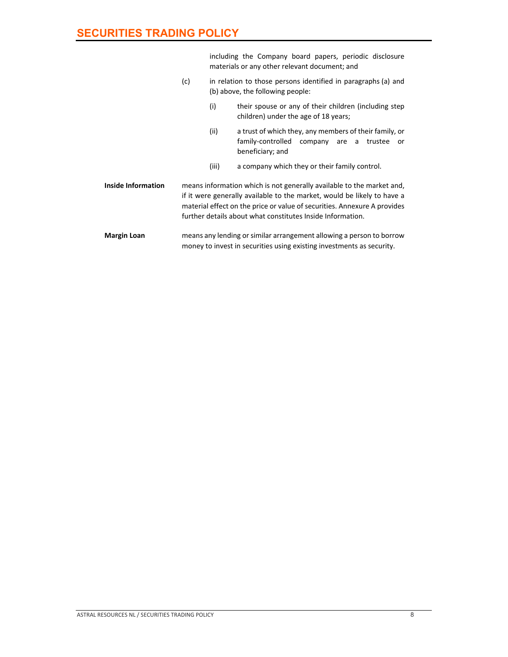|                           |                                                                                                                                                                                                                                                                                            | including the Company board papers, periodic disclosure<br>materials or any other relevant document; and<br>in relation to those persons identified in paragraphs (a) and<br>(b) above, the following people: |                                                                                                                                   |  |
|---------------------------|--------------------------------------------------------------------------------------------------------------------------------------------------------------------------------------------------------------------------------------------------------------------------------------------|---------------------------------------------------------------------------------------------------------------------------------------------------------------------------------------------------------------|-----------------------------------------------------------------------------------------------------------------------------------|--|
|                           | (c)                                                                                                                                                                                                                                                                                        |                                                                                                                                                                                                               |                                                                                                                                   |  |
|                           |                                                                                                                                                                                                                                                                                            | (i)                                                                                                                                                                                                           | their spouse or any of their children (including step<br>children) under the age of 18 years;                                     |  |
|                           |                                                                                                                                                                                                                                                                                            | (ii)                                                                                                                                                                                                          | a trust of which they, any members of their family, or<br>family-controlled<br>company are a<br>trustee<br>or<br>beneficiary; and |  |
|                           |                                                                                                                                                                                                                                                                                            | (iii)                                                                                                                                                                                                         | a company which they or their family control.                                                                                     |  |
| <b>Inside Information</b> | means information which is not generally available to the market and,<br>if it were generally available to the market, would be likely to have a<br>material effect on the price or value of securities. Annexure A provides<br>further details about what constitutes Inside Information. |                                                                                                                                                                                                               |                                                                                                                                   |  |
| <b>Margin Loan</b>        | means any lending or similar arrangement allowing a person to borrow<br>money to invest in securities using existing investments as security.                                                                                                                                              |                                                                                                                                                                                                               |                                                                                                                                   |  |